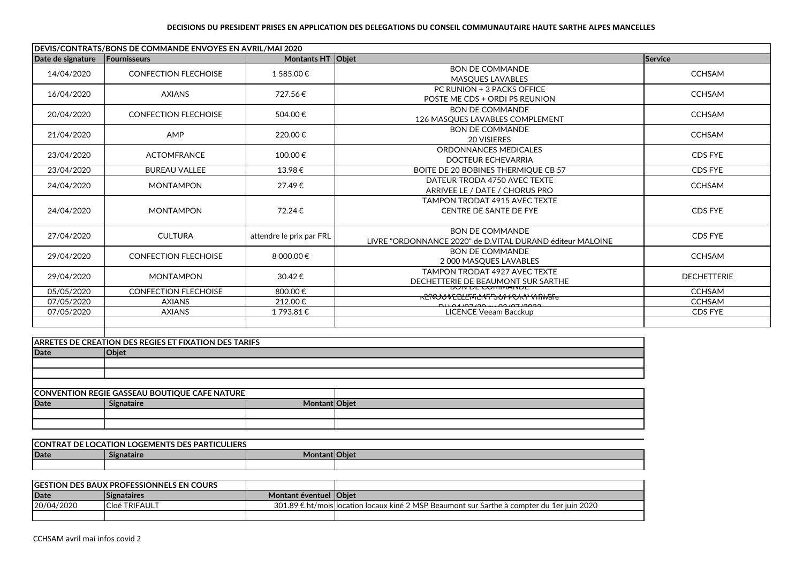## **DECISIONS DU PRESIDENT PRISES EN APPLICATION DES DELEGATIONS DU CONSEIL COMMUNAUTAIRE HAUTE SARTHE ALPES MANCELLES**

| DEVIS/CONTRATS/BONS DE COMMANDE ENVOYES EN AVRIL/MAI 2020 |                                                              |                          |                                                                                     |                    |  |
|-----------------------------------------------------------|--------------------------------------------------------------|--------------------------|-------------------------------------------------------------------------------------|--------------------|--|
| Date de signature                                         | Fournisseurs                                                 | Montants HT Obiet        |                                                                                     | Service            |  |
| 14/04/2020                                                | <b>CONFECTION FLECHOISE</b>                                  | 1 585.00€                | <b>BON DE COMMANDE</b><br><b>MASQUES LAVABLES</b>                                   | <b>CCHSAM</b>      |  |
| 16/04/2020                                                | <b>AXIANS</b>                                                | 727.56€                  | PC RUNION + 3 PACKS OFFICE<br>POSTE ME CDS + ORDI PS REUNION                        | <b>CCHSAM</b>      |  |
| 20/04/2020                                                | <b>CONFECTION FLECHOISE</b>                                  | 504.00€                  | <b>BON DE COMMANDE</b><br>126 MASQUES LAVABLES COMPLEMENT                           | <b>CCHSAM</b>      |  |
| 21/04/2020                                                | AMP                                                          | 220.00€                  | <b>BON DE COMMANDE</b><br><b>20 VISIERES</b>                                        | <b>CCHSAM</b>      |  |
| 23/04/2020                                                | <b>ACTOMFRANCE</b>                                           | 100.00€                  | ORDONNANCES MEDICALES<br><b>DOCTEUR ECHEVARRIA</b>                                  | CDS FYE            |  |
| 23/04/2020                                                | <b>BUREAU VALLEE</b>                                         | 13.98€                   | BOITE DE 20 BOBINES THERMIQUE CB 57                                                 | CDS FYE            |  |
| 24/04/2020                                                | <b>MONTAMPON</b>                                             | 27.49€                   | DATEUR TRODA 4750 AVEC TEXTE<br>ARRIVEE LE / DATE / CHORUS PRO                      | <b>CCHSAM</b>      |  |
| 24/04/2020                                                | <b>MONTAMPON</b>                                             | 72.24€                   | <b>TAMPON TRODAT 4915 AVEC TEXTE</b><br>CENTRE DE SANTE DE FYE                      | CDS FYE            |  |
| 27/04/2020                                                | <b>CULTURA</b>                                               | attendre le prix par FRL | <b>BON DE COMMANDE</b><br>LIVRE "ORDONNANCE 2020" de D.VITAL DURAND éditeur MALOINE | CDS FYE            |  |
| 29/04/2020                                                | <b>CONFECTION FLECHOISE</b>                                  | 8 000.00€                | <b>BON DE COMMANDE</b><br>2 000 MASQUES LAVABLES                                    | <b>CCHSAM</b>      |  |
| 29/04/2020                                                | <b>MONTAMPON</b>                                             | 30.42€                   | <b>TAMPON TRODAT 4927 AVEC TEXTE</b><br>DECHETTERIE DE BEAUMONT SUR SARTHE          | <b>DECHETTERIE</b> |  |
| 05/05/2020                                                | <b>CONFECTION FLECHOISE</b>                                  | 800.00€                  | <b>DUIT DE CUMMANDE</b><br><del>ĸჇŃᢕᡃ᠔ᡐᢄ᠒ᡶ<i>ᡌ</i>ᡪ᠘᠊ᠰᠮᢃ᠊ᡠ</del> ᡰᠻ᠊ᢗᢦᡳᢇᠲ᠓ᡰᢂ᠓ᡰᢦᡏᡆ   | <b>CCHSAM</b>      |  |
| 07/05/2020                                                | <b>AXIANS</b>                                                | 212.00€                  | <u>00101202120 من 20150140140</u>                                                   | <b>CCHSAM</b>      |  |
| 07/05/2020                                                | <b>AXIANS</b>                                                | 1793.81€                 | <b>LICENCE Veeam Bacckup</b>                                                        | CDS FYE            |  |
|                                                           | <b>ARRETES DE CREATION DES REGIES ET FIXATION DES TARIFS</b> |                          |                                                                                     |                    |  |
| <b>Date</b>                                               | <b>Objet</b>                                                 |                          |                                                                                     |                    |  |
|                                                           |                                                              |                          |                                                                                     |                    |  |
|                                                           |                                                              |                          |                                                                                     |                    |  |
|                                                           |                                                              |                          |                                                                                     |                    |  |
|                                                           | <b>CONVENTION REGIE GASSEAU BOUTIQUE CAFE NATURE</b>         |                          |                                                                                     |                    |  |

| <b>CONVENTION REGIE GASSEAU BOUTIQUE CAFE NATURE</b> |                   |  |  |
|------------------------------------------------------|-------------------|--|--|
| <b>Date</b>                                          | <b>Signataire</b> |  |  |
|                                                      |                   |  |  |
|                                                      |                   |  |  |
|                                                      |                   |  |  |

| <b>LOCATION LOGEMENTS DES PARTICULIERS</b><br><b>CON1</b><br>DE<br>TRA1 |            |                      |  |  |  |  |
|-------------------------------------------------------------------------|------------|----------------------|--|--|--|--|
| Date                                                                    | Signataire | <b>Montant Objet</b> |  |  |  |  |
|                                                                         |            |                      |  |  |  |  |

| <b>IGESTION DES BAUX PROFESSIONNELS EN COURS</b> |                      |                  |                                                                                            |
|--------------------------------------------------|----------------------|------------------|--------------------------------------------------------------------------------------------|
| Date                                             | <b>Signataires</b>   | Montant éventuel | l lObiet                                                                                   |
| 20/04/2020                                       | <b>Cloé TRIFAULT</b> |                  | 301.89 € ht/mois location locaux kiné 2 MSP Beaumont sur Sarthe à compter du 1er juin 2020 |
|                                                  |                      |                  |                                                                                            |